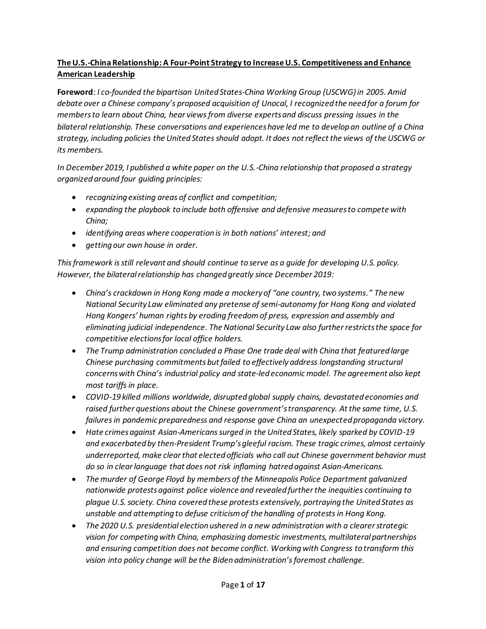# **The U.S.-China Relationship: A Four-Point Strategy to Increase U.S. Competitiveness and Enhance American Leadership**

**Foreword**: *I co-founded the bipartisan United States-China Working Group (USCWG)in 2005. Amid debate over a Chinese company's proposed acquisition of Unocal, I recognized the need for a forum for members to learn about China, hear views from diverse experts and discuss pressing issues in the bilateral relationship. These conversations and experiences have led me to develop an outline of a China strategy, including policies the United States should adopt. It does not reflect the views of the USCWG or its members.*

*In December 2019, I published a white paper on the U.S.-China relationship that proposed a strategy organized around four guiding principles:* 

- *recognizing existing areas of conflict and competition;*
- *expanding the playbook to include both offensive and defensive measures to compete with China;*
- *identifying areas where cooperation is in both nations' interest; and*
- *getting our own house in order.*

*This framework is still relevant and should continue to serve as a guide for developing U.S. policy. However, the bilateral relationship has changed greatly since December 2019:*

- *China's crackdown in Hong Kong made a mockery of "one country, two systems." The new National Security Law eliminated any pretense of semi-autonomy for Hong Kong and violated Hong Kongers' human rights by eroding freedom of press, expression and assembly and eliminating judicial independence. The National Security Law also further restrictsthe space for competitive elections for local office holders.*
- *The Trump administration concluded a Phase One trade deal with China that featured large Chinese purchasing commitments but failed to effectively address longstanding structural concerns with China's industrial policy and state-led economic model. The agreement also kept most tariffs in place.*
- *COVID-19 killed millions worldwide, disrupted global supply chains, devastated economies and raised further questions about the Chinese government's transparency. At the same time, U.S. failures in pandemic preparedness and response gave China an unexpected propaganda victory.*
- *Hate crimes against Asian-Americans surged in the United States, likely sparked by COVID-19 and exacerbated by then-President Trump's gleeful racism. These tragic crimes, almost certainly underreported, make clear that elected officials who call out Chinese government behavior must do so in clear language that does not risk inflaming hatred against Asian-Americans.*
- *The murder of George Floyd by members of the Minneapolis Police Department galvanized nationwide protests against police violence and revealed further the inequities continuing to plague U.S. society. China covered these protests extensively, portraying the United States as unstable and attempting to defuse criticism of the handling of protests in Hong Kong.*
- *The 2020 U.S. presidential election ushered in a new administration with a clearer strategic vision for competing with China, emphasizing domestic investments, multilateral partnerships and ensuring competition does not become conflict. Working with Congress to transform this vision into policy change will be the Biden administration's foremost challenge.*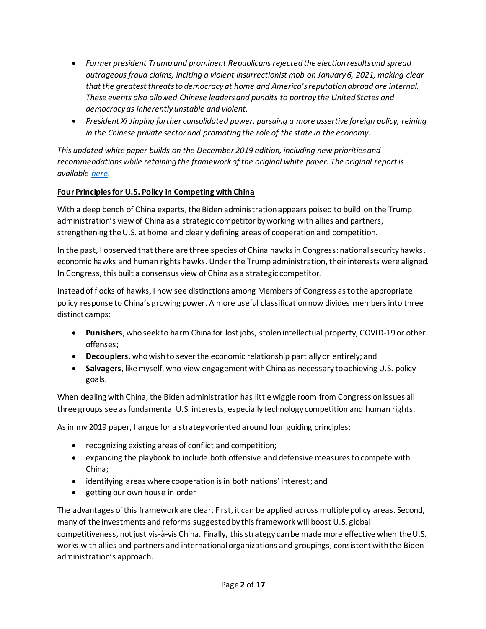- *Former president Trump and prominent Republicans rejected the election results and spread outrageous fraud claims, inciting a violent insurrectionist mob on January 6, 2021, making clear that the greatest threats to democracy at home and America's reputation abroad are internal. These events also allowed Chinese leaders and pundits to portray the United States and democracy as inherently unstable and violent.*
- *President Xi Jinping further consolidated power, pursuing a more assertive foreign policy, reining in the Chinese private sector and promoting the role of the state in the economy.*

*This updated white paper builds on the December 2019 edition, including new priorities and recommendations while retaining the framework of the original white paper. The original report is available [here.](https://medium.com/@RickLarsen/us-china-white-paper-cf8e30052928)*

## **Four Principles for U.S. Policy in Competing with China**

With a deep bench of China experts, the Biden administration appears poised to build on the Trump administration's view of China as a strategic competitor by working with allies and partners, strengthening the U.S. at home and clearly defining areas of cooperation and competition.

In the past, I observed that there are three species of China hawks in Congress: national security hawks, economic hawks and human rights hawks. Under the Trump administration, their interests were aligned. In Congress, this built a consensus view of China as a strategic competitor.

Instead of flocks of hawks, I now see distinctions among Members of Congress as to the appropriate policy response to China's growing power. A more useful classification now divides members into three distinct camps:

- **Punishers**, who seek to harm China for lost jobs, stolen intellectual property, COVID-19 or other offenses;
- **Decouplers**, who wish to sever the economic relationship partially or entirely; and
- **Salvagers**, like myself, who view engagement with China as necessary to achieving U.S. policy goals.

When dealing with China, the Biden administration has little wiggle room from Congress on issues all three groups see as fundamental U.S. interests, especially technology competition and human rights.

As in my 2019 paper, I argue for a strategy oriented around four guiding principles:

- recognizing existing areas of conflict and competition;
- expanding the playbook to include both offensive and defensive measures to compete with China;
- identifying areas where cooperation is in both nations' interest; and
- getting our own house in order

The advantages of this framework are clear. First, it can be applied across multiple policy areas. Second, many of the investments and reforms suggested by this framework will boost U.S. global competitiveness, not just vis-à-vis China. Finally, this strategy canbe made more effective when the U.S. works with allies and partners and international organizations and groupings, consistent with the Biden administration's approach.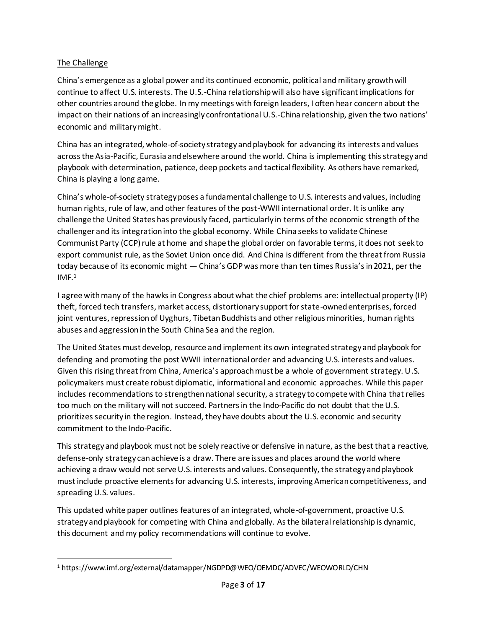## The Challenge

China's emergence as a global power and its continued economic, political and military growth will continue to affect U.S. interests. The U.S.-China relationship will also have significant implications for other countries around the globe. In my meetings with foreign leaders, I often hear concern about the impact on their nations of an increasingly confrontational U.S.-China relationship, given the two nations' economic and military might.

China has an integrated, whole-of-society strategy and playbook for advancing its interests and values across the Asia-Pacific, Eurasia and elsewhere around the world. China is implementing this strategy and playbook with determination, patience, deep pockets and tactical flexibility. As others have remarked, China is playing a long game.

China's whole-of-society strategy poses a fundamental challenge to U.S. interests and values, including human rights, rule of law, and other features of the post-WWII international order. It is unlike any challenge the United States has previously faced, particularly in terms of the economic strength of the challenger and its integration into the global economy. While China seeks to validate Chinese Communist Party (CCP) rule at home and shape the global order on favorable terms, it does not seek to export communist rule, asthe Soviet Union once did. And China is different from the threat from Russia today because of its economic might — China's GDP was more than ten times Russia's in 2021, per the  $IMF<sup>1</sup>$ 

I agree with many of the hawks in Congress about what the chief problems are: intellectual property (IP) theft, forced tech transfers, market access, distortionary support for state-owned enterprises, forced joint ventures, repression of Uyghurs, Tibetan Buddhists and other religious minorities, human rights abuses and aggression in the South China Sea and the region.

The United States must develop, resource and implement its own integrated strategy and playbook for defending and promoting the post WWII international order and advancing U.S. interests and values. Given this rising threat from China, America's approach must be a whole of government strategy. U.S. policymakers must create robust diplomatic, informational and economic approaches. While this paper includes recommendations to strengthen national security, a strategy to compete with China that relies too much on the military will not succeed. Partners in the Indo-Pacific do not doubt that the U.S. prioritizes security in the region. Instead, they have doubts about the U.S. economic and security commitment to the Indo-Pacific.

This strategy and playbook must not be solely reactive or defensive in nature, as the best that a reactive, defense-only strategy can achieve is a draw. There are issues and places around the world where achieving a draw would not serve U.S. interests and values. Consequently, the strategy and playbook must include proactive elements for advancing U.S. interests, improving American competitiveness, and spreading U.S. values.

This updated white paper outlines features of an integrated, whole-of-government, proactive U.S. strategy and playbook for competing with China and globally. As the bilateral relationship is dynamic, this document and my policy recommendations will continue to evolve.

<sup>1</sup> https://www.imf.org/external/datamapper/NGDPD@WEO/OEMDC/ADVEC/WEOWORLD/CHN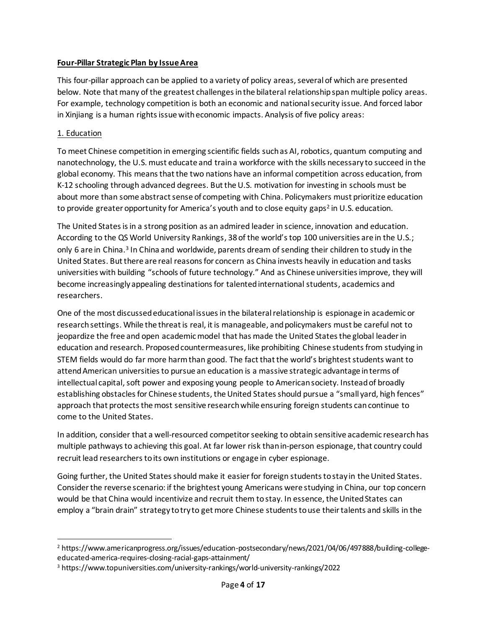### **Four-Pillar Strategic Plan by Issue Area**

This four-pillar approach can be applied to a variety of policy areas, several of which are presented below. Note that many of the greatest challenges in the bilateral relationship span multiple policy areas. For example, technology competition is both an economic and national security issue. And forced labor in Xinjiang is a human rights issue with economic impacts. Analysis of five policy areas:

### 1. Education

To meet Chinese competition in emerging scientific fields such as AI, robotics, quantum computing and nanotechnology, the U.S. must educate and train a workforce with the skills necessary to succeed in the global economy. This means that the two nations have an informal competition across education, from K-12 schooling through advanced degrees. But the U.S. motivation for investing in schools must be about more than some abstract sense of competing with China. Policymakers must prioritize education to provide greater opportunity for America's youth and to close equity gaps<sup>2</sup> in U.S. education.

The United States is in a strong position as an admired leader in science, innovation and education. According to the QS World University Rankings, 38 of the world's top 100 universities are in the U.S.; only 6 are in China.<sup>3</sup> In China and worldwide, parents dream of sending their children to study in the United States. But there are real reasons for concern as China invests heavily in education and tasks universities with building "schools of future technology." And as Chinese universities improve, they will become increasingly appealing destinations for talented international students, academics and researchers.

One of the most discussed educational issues in the bilateral relationship is espionage in academic or research settings. While the threat is real, it is manageable, and policymakers must be careful not to jeopardize the free and open academic model that has made the United States the global leader in education and research. Proposed countermeasures, like prohibiting Chinese students from studying in STEM fields would do far more harm than good. The fact that the world's brightest students want to attend American universities to pursue an education is a massive strategic advantage in terms of intellectual capital, soft power and exposing young people to American society. Instead of broadly establishing obstacles for Chinese students, the United States should pursue a "small yard, high fences" approach that protects the most sensitive research while ensuring foreign students can continue to come to the United States.

In addition, consider that a well-resourced competitor seeking to obtain sensitive academic research has multiple pathways to achieving this goal. At far lower risk than in-person espionage, that country could recruit lead researchers to its own institutions or engage in cyber espionage.

Going further, the United States should make it easier for foreign students to stay in the United States. Consider the reverse scenario: if the brightest young Americans were studying in China, our top concern would be that China would incentivize and recruit them to stay. In essence, the United States can employ a "brain drain" strategy to try to get more Chinese students to use their talents and skills in the

<sup>2</sup> https://www.americanprogress.org/issues/education-postsecondary/news/2021/04/06/497888/building-collegeeducated-america-requires-closing-racial-gaps-attainment/

<sup>3</sup> https://www.topuniversities.com/university-rankings/world-university-rankings/2022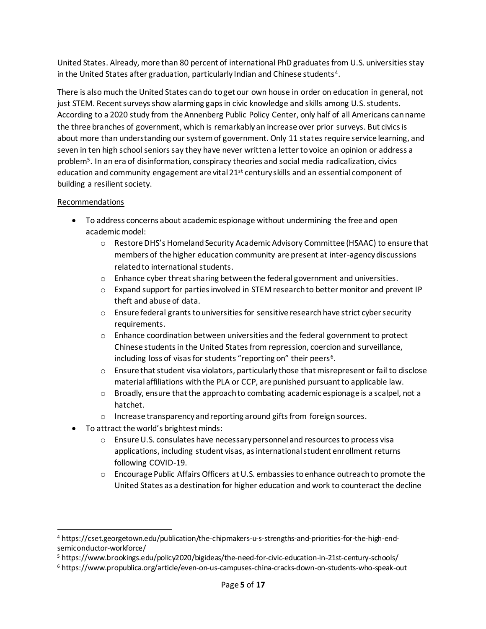United States. Already, more than 80 percent of international PhD graduates from U.S. universities stay in the United States after graduation, particularly Indian and Chinese students<sup>4</sup>.

There is also much the United States can do to get our own house in order on education in general, not just STEM. Recent surveys show alarming gaps in civic knowledge and skills among U.S. students. According to a 2020 study from the Annenberg Public Policy Center, only half of all Americans can name the three branches of government, which is remarkably an increase over prior surveys. But civics is about more than understanding our system of government. Only 11 states require service learning, and seven in ten high school seniors say they have never written a letter to voice an opinion or address a problem<sup>5</sup> . In an era of disinformation, conspiracy theories and social media radicalization, civics education and community engagement are vital 21<sup>st</sup> century skills and an essential component of building a resilient society.

#### Recommendations

- To address concerns about academic espionage without undermining the free and open academic model:
	- o Restore DHS's Homeland Security Academic Advisory Committee (HSAAC) to ensure that members of the higher education community are present at inter-agency discussions related to international students.
	- o Enhance cyber threat sharing between the federal government and universities.
	- $\circ$  Expand support for parties involved in STEM research to better monitor and prevent IP theft and abuse of data.
	- $\circ$  Ensure federal grants to universities for sensitive research have strict cyber security requirements.
	- $\circ$  Enhance coordination between universities and the federal government to protect Chinese students in the United States from repression, coercion and surveillance, including loss of visas for students "reporting on" their peers<sup>6</sup>.
	- $\circ$  Ensure that student visa violators, particularly those that misrepresent or fail to disclose material affiliations with the PLA or CCP, are punished pursuant to applicable law.
	- $\circ$  Broadly, ensure that the approach to combating academic espionage is a scalpel, not a hatchet.
	- o Increase transparency and reporting around gifts from foreign sources.
- To attract the world's brightest minds:
	- o Ensure U.S. consulates have necessary personnel and resources to process visa applications, including student visas, as international student enrollment returns following COVID-19.
	- o Encourage Public Affairs Officers at U.S. embassies to enhance outreach to promote the United States as a destination for higher education and work to counteract the decline

<sup>4</sup> https://cset.georgetown.edu/publication/the-chipmakers-u-s-strengths-and-priorities-for-the-high-endsemiconductor-workforce/

<sup>5</sup> https://www.brookings.edu/policy2020/bigideas/the-need-for-civic-education-in-21st-century-schools/

<sup>6</sup> https://www.propublica.org/article/even-on-us-campuses-china-cracks-down-on-students-who-speak-out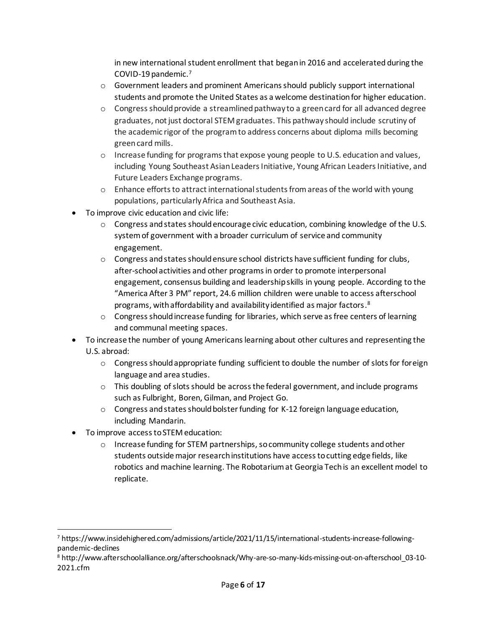in new international student enrollment that began in 2016 and accelerated during the COVID-19 pandemic. 7

- $\circ$  Government leaders and prominent Americans should publicly support international students and promote the United States as a welcome destination for higher education.
- o Congress should provide a streamlined pathway to a green card for all advanced degree graduates, not just doctoral STEM graduates. This pathway should include scrutiny of the academic rigor of the program to address concerns about diploma mills becoming green card mills.
- o Increase funding for programs that expose young people to U.S. education and values, including Young Southeast Asian Leaders Initiative, Young African Leaders Initiative, and Future Leaders Exchange programs.
- $\circ$  Enhance efforts to attract international students from areas of the world with young populations, particularly Africa and Southeast Asia.
- To improve civic education and civic life:
	- $\circ$  Congress and states should encourage civic education, combining knowledge of the U.S. system of government with a broader curriculum of service and community engagement.
	- $\circ$  Congress and states should ensure school districts have sufficient funding for clubs, after-school activities and other programs in order to promote interpersonal engagement, consensus building and leadership skills in young people. According to the "America After 3 PM" report, 24.6 million children were unable to access afterschool programs, with affordability and availability identified as major factors. 8
	- o Congress should increase funding for libraries, which serve as free centers of learning and communal meeting spaces.
- To increase the number of young Americans learning about other cultures and representing the U.S. abroad:
	- o Congress should appropriate funding sufficient to double the number of slots for foreign language and area studies.
	- $\circ$  This doubling of slots should be across the federal government, and include programs such as Fulbright, Boren, Gilman, and Project Go.
	- $\circ$  Congress and states should bolster funding for K-12 foreign language education, including Mandarin.
- To improve access to STEM education:
	- $\circ$  Increase funding for STEM partnerships, so community college students and other students outside major research institutions have access to cutting edge fields, like robotics and machine learning. The Robotarium at Georgia Tech is an excellent model to replicate.

<sup>7</sup> https://www.insidehighered.com/admissions/article/2021/11/15/international-students-increase-followingpandemic-declines

<sup>8</sup> http://www.afterschoolalliance.org/afterschoolsnack/Why-are-so-many-kids-missing-out-on-afterschool\_03-10- 2021.cfm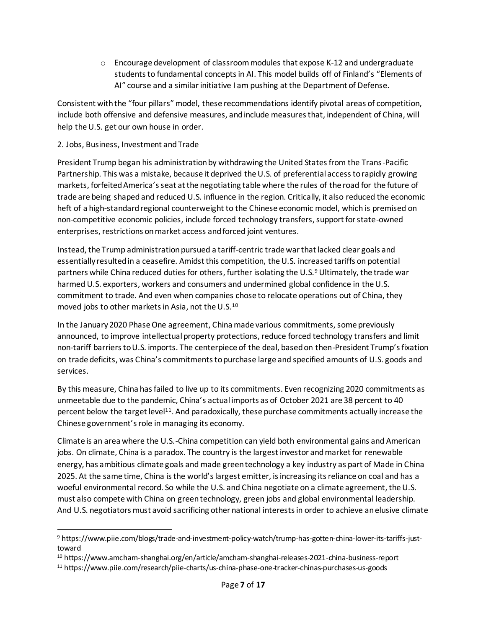$\circ$  Encourage development of classroom modules that expose K-12 and undergraduate students to fundamental concepts in AI. This model builds off of Finland's "Elements of AI" course and a similar initiative I am pushing at the Department of Defense.

Consistent with the "four pillars" model, these recommendations identify pivotal areas of competition, include both offensive and defensive measures, and include measures that, independent of China, will help the U.S. get our own house in order.

### 2. Jobs, Business, Investment and Trade

President Trump began his administration by withdrawing the United States from the Trans-Pacific Partnership. This was a mistake, because it deprived the U.S. of preferential access to rapidly growing markets, forfeited America's seat at the negotiating table where the rules of the road for the future of trade are being shaped and reduced U.S. influence in the region. Critically, it also reduced the economic heft of a high-standard regional counterweight to the Chinese economic model, which is premised on non-competitive economic policies, include forced technology transfers, support for state-owned enterprises, restrictions on market access and forced joint ventures.

Instead, the Trump administration pursued a tariff-centric trade war that lacked clear goals and essentially resulted in a ceasefire. Amidst this competition, the U.S. increased tariffs on potential partners while China reduced duties for others, further isolating the U.S.<sup>9</sup> Ultimately, the trade war harmed U.S. exporters, workers and consumers and undermined global confidence in the U.S. commitment to trade. And even when companies chose to relocate operations out of China, they moved jobs to other markets in Asia, not the U.S.<sup>10</sup>

In the January 2020 Phase One agreement, China made various commitments, some previously announced, to improve intellectual property protections, reduce forced technology transfers and limit non-tariff barriers to U.S. imports. The centerpiece of the deal, based on then-President Trump's fixation on trade deficits, was China's commitments to purchase large and specified amounts of U.S. goods and services.

By this measure, China has failed to live up to its commitments. Even recognizing 2020 commitments as unmeetable due to the pandemic, China's actual imports as of October 2021 are 38 percent to 40 percent below the target level<sup>11</sup>. And paradoxically, these purchase commitments actually increase the Chinese government's role in managing its economy.

Climate is an area where the U.S.-China competition can yield both environmental gains and American jobs. On climate, China is a paradox. The country is the largest investor and market for renewable energy, has ambitious climate goals and made green technology a key industry as part of Made in China 2025. At the same time, China is the world's largest emitter, is increasing its reliance on coal and has a woeful environmental record. So while the U.S. and China negotiate on a climate agreement, the U.S. must also compete with China on green technology, green jobs and global environmental leadership. And U.S. negotiators must avoid sacrificing other national interests in order to achieve an elusive climate

<sup>9</sup> https://www.piie.com/blogs/trade-and-investment-policy-watch/trump-has-gotten-china-lower-its-tariffs-justtoward

<sup>10</sup> https://www.amcham-shanghai.org/en/article/amcham-shanghai-releases-2021-china-business-report

<sup>11</sup> https://www.piie.com/research/piie-charts/us-china-phase-one-tracker-chinas-purchases-us-goods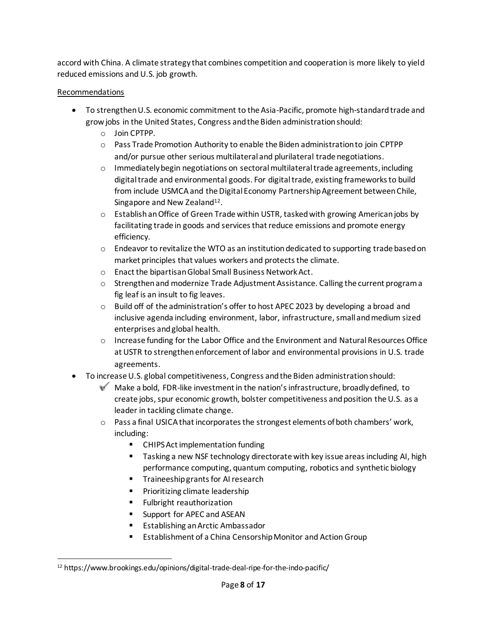accord with China. A climate strategy that combines competition and cooperation is more likely to yield reduced emissions and U.S. job growth.

## Recommendations

- To strengthen U.S. economic commitment to the Asia-Pacific, promote high-standard trade and grow jobs in the United States, Congress and the Biden administration should:
	- o Join CPTPP.
	- o Pass Trade Promotion Authority to enable the Biden administration to join CPTPP and/or pursue other serious multilateral and plurilateral trade negotiations.
	- o Immediately begin negotiations on sectoral multilateral trade agreements, including digital trade and environmental goods. For digital trade, existing frameworks to build from include USMCA and the Digital Economy Partnership Agreement between Chile, Singapore and New Zealand<sup>12</sup>.
	- o Establish an Office of Green Trade within USTR, tasked with growing American jobs by facilitating trade in goods and services that reduce emissions and promote energy efficiency.
	- $\circ$  Endeavor to revitalize the WTO as an institution dedicated to supporting trade based on market principles that values workers and protects the climate.
	- o Enact the bipartisan Global Small Business Network Act.
	- o Strengthen and modernize Trade Adjustment Assistance. Calling the current program a fig leaf is an insult to fig leaves.
	- o Build off of the administration's offer to host APEC 2023 by developing a broad and inclusive agenda including environment, labor, infrastructure, small and medium sized enterprises and global health.
	- o Increase funding for the Labor Office and the Environment and Natural Resources Office at USTR to strengthen enforcement of labor and environmental provisions in U.S. trade agreements.
- To increase U.S. global competitiveness, Congress and the Biden administration should:
	- $\bullet$  Make a bold, FDR-like investment in the nation's infrastructure, broadly defined, to create jobs, spur economic growth, bolster competitiveness and position the U.S. as a leader in tackling climate change.
	- $\circ$  Pass a final USICA that incorporates the strongest elements of both chambers' work, including:
		- CHIPS Act implementation funding
		- Tasking a new NSF technology directorate with key issue areas including AI, high performance computing, quantum computing, robotics and synthetic biology
		- **■** Traineeship grants for AI research
		- Prioritizing climate leadership
		- Fulbright reauthorization
		- Support for APEC and ASEAN
		- Establishing an Arctic Ambassador
		- Establishment of a China Censorship Monitor and Action Group

<sup>12</sup> https://www.brookings.edu/opinions/digital-trade-deal-ripe-for-the-indo-pacific/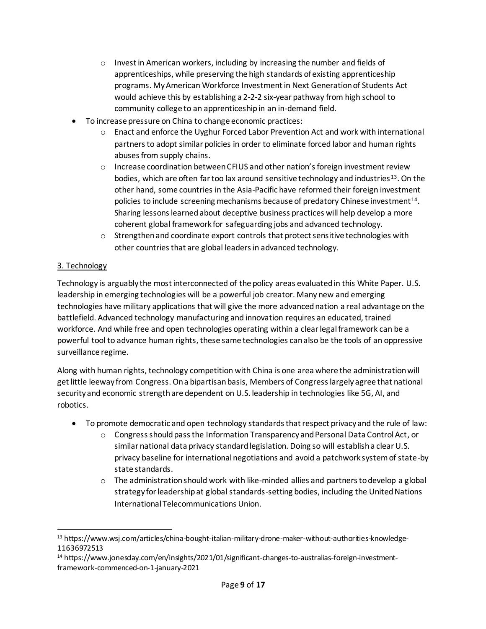- $\circ$  Invest in American workers, including by increasing the number and fields of apprenticeships, while preserving the high standards of existing apprenticeship programs. My American Workforce Investment in Next Generation of Students Act would achieve this by establishing a 2-2-2 six-year pathway from high school to community college to an apprenticeship in an in-demand field.
- To increase pressure on China to change economic practices:
	- o Enact and enforce the Uyghur Forced Labor Prevention Act and work with international partners to adopt similar policies in order to eliminate forced labor and human rights abuses from supply chains.
	- $\circ$  Increase coordination between CFIUS and other nation's foreign investment review bodies, which are often far too lax around sensitive technology and industries<sup>13</sup>. On the other hand, some countries in the Asia-Pacific have reformed their foreign investment policies to include screening mechanisms because of predatory Chinese investment<sup>14</sup>. Sharing lessons learned about deceptive business practices will help develop a more coherent global framework for safeguarding jobs and advanced technology.
	- $\circ$  Strengthen and coordinate export controls that protect sensitive technologies with other countries that are global leaders in advanced technology.

## 3. Technology

Technology is arguably the most interconnected of the policy areas evaluated in this White Paper. U.S. leadership in emerging technologies will be a powerful job creator. Many new and emerging technologies have military applications that will give the more advanced nation a real advantage on the battlefield. Advanced technology manufacturing and innovation requires an educated, trained workforce. And while free and open technologies operating within a clear legal framework can be a powerful tool to advance human rights, these same technologies can also be the tools of an oppressive surveillance regime.

Along with human rights, technology competition with China is one area where the administration will get little leeway from Congress. On a bipartisan basis, Members of Congress largely agree that national security and economic strength are dependent on U.S. leadership in technologies like 5G, AI, and robotics.

- To promote democratic and open technology standards that respect privacy and the rule of law:
	- o Congress should pass the Information Transparency and Personal Data Control Act, or similar national data privacy standard legislation. Doing so will establish a clear U.S. privacy baseline for international negotiations and avoid a patchwork system of state-by state standards.
	- $\circ$  The administration should work with like-minded allies and partners to develop a global strategy for leadership at global standards-setting bodies, including the United Nations International Telecommunications Union.

<sup>13</sup> https://www.wsj.com/articles/china-bought-italian-military-drone-maker-without-authorities-knowledge-11636972513

<sup>14</sup> https://www.jonesday.com/en/insights/2021/01/significant-changes-to-australias-foreign-investmentframework-commenced-on-1-january-2021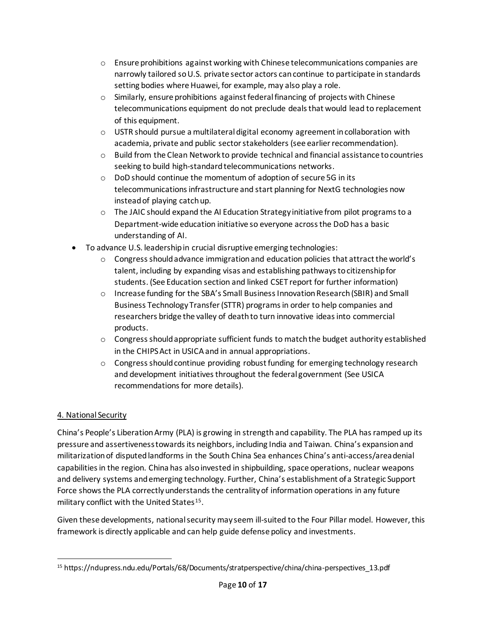- $\circ$  Ensure prohibitions against working with Chinese telecommunications companies are narrowly tailored soU.S. private sector actors can continue to participate in standards setting bodies where Huawei, for example, may also play a role.
- $\circ$  Similarly, ensure prohibitions against federal financing of projects with Chinese telecommunications equipment do not preclude deals that would lead to replacement of this equipment.
- $\circ$  USTR should pursue a multilateral digital economy agreement in collaboration with academia, private and public sector stakeholders (see earlier recommendation).
- $\circ$  Build from the Clean Network to provide technical and financial assistance to countries seeking to build high-standard telecommunications networks.
- o DoD should continue the momentum of adoption of secure 5G in its telecommunications infrastructure and start planning for NextG technologies now instead of playing catch up.
- $\circ$  The JAIC should expand the AI Education Strategy initiative from pilot programs to a Department-wide education initiative so everyone across the DoD has a basic understanding of AI.
- To advance U.S. leadership in crucial disruptive emerging technologies:
	- $\circ$  Congress should advance immigration and education policies that attract the world's talent, including by expanding visas and establishing pathways to citizenship for students. (See Education section and linked CSET report for further information)
	- o Increase funding for the SBA's Small Business Innovation Research (SBIR) and Small Business Technology Transfer (STTR) programs in order to help companies and researchers bridge the valley of death to turn innovative ideas into commercial products.
	- $\circ$  Congress should appropriate sufficient funds to match the budget authority established in the CHIPS Act in USICA and in annual appropriations.
	- $\circ$  Congress should continue providing robust funding for emerging technology research and development initiatives throughout the federal government (See USICA recommendations for more details).

# 4. National Security

China's People's Liberation Army (PLA) is growing in strength and capability. The PLA has ramped up its pressure and assertiveness towards its neighbors, including India and Taiwan. China's expansion and militarization of disputed landforms in the South China Sea enhances China's anti-access/area denial capabilities in the region. China has also invested in shipbuilding, space operations, nuclear weapons and delivery systems and emerging technology. Further, China's establishment of a Strategic Support Force shows the PLA correctly understands the centrality of information operations in any future military conflict with the United States<sup>15</sup>.

Given these developments, national security may seem ill-suited to the Four Pillar model. However, this framework is directly applicable and can help guide defense policy and investments.

<sup>15</sup> https://ndupress.ndu.edu/Portals/68/Documents/stratperspective/china/china-perspectives\_13.pdf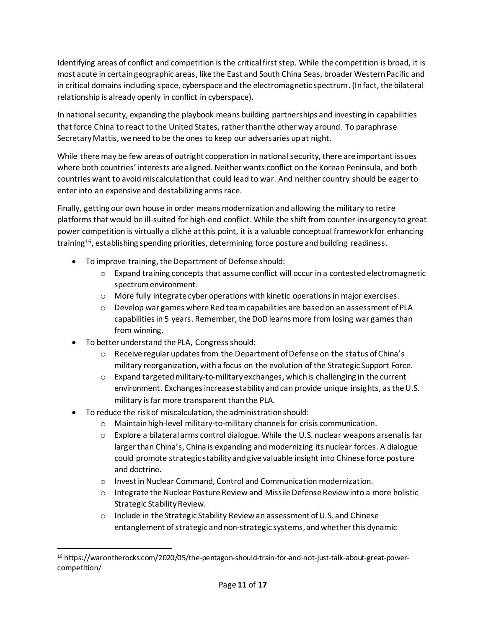Identifying areas of conflict and competition is the critical first step. While the competition is broad, it is most acute in certain geographic areas, like the East and South China Seas, broader Western Pacific and in critical domains including space, cyberspace and the electromagnetic spectrum. (In fact, the bilateral relationship is already openly in conflict in cyberspace).

In national security, expanding the playbook means building partnerships and investing in capabilities that force China to react to the United States, rather than the other way around. To paraphrase Secretary Mattis, we need to be the ones to keep our adversaries up at night.

While there may be few areas of outright cooperation in national security, there are important issues where both countries' interests are aligned. Neither wants conflict on the Korean Peninsula, and both countries want to avoid miscalculation that could lead to war. And neither country should be eager to enter into an expensive and destabilizing arms race.

Finally, getting our own house in order means modernization and allowing the military to retire platforms that would be ill-suited for high-end conflict. While the shift from counter-insurgency to great power competition is virtually a cliché at this point, it is a valuable conceptual framework for enhancing training<sup>16</sup>, establishing spending priorities, determining force posture and building readiness.

- To improve training, the Department of Defense should:
	- $\circ$  Expand training concepts that assume conflict will occur in a contested electromagnetic spectrum environment.
	- o More fully integrate cyber operations with kinetic operations in major exercises.
	- $\circ$  Develop war games where Red team capabilities are based on an assessment of PLA capabilities in 5 years. Remember, the DoD learns more from losing war games than from winning.
- To better understand the PLA, Congress should:
	- o Receive regular updates from the Department of Defense on the status of China's military reorganization, with a focus on the evolution of the Strategic Support Force.
	- $\circ$  Expand targeted military-to-military exchanges, which is challenging in the current environment. Exchanges increase stability and can provide unique insights, as the U.S. military is far more transparent than the PLA.
- To reduce the risk of miscalculation, the administration should:
	- o Maintain high-level military-to-military channels for crisis communication.
	- $\circ$  Explore a bilateral arms control dialogue. While the U.S. nuclear weapons arsenal is far larger than China's, China is expanding and modernizing its nuclear forces. A dialogue could promote strategic stability and give valuable insight into Chinese force posture and doctrine.
	- o Invest in Nuclear Command, Control and Communication modernization.
	- o Integrate the Nuclear Posture Review and Missile Defense Review into a more holistic Strategic Stability Review.
	- o Include in the Strategic Stability Review an assessment of U.S. and Chinese entanglement of strategic and non-strategic systems, and whether this dynamic

<sup>16</sup> https://warontherocks.com/2020/05/the-pentagon-should-train-for-and-not-just-talk-about-great-powercompetition/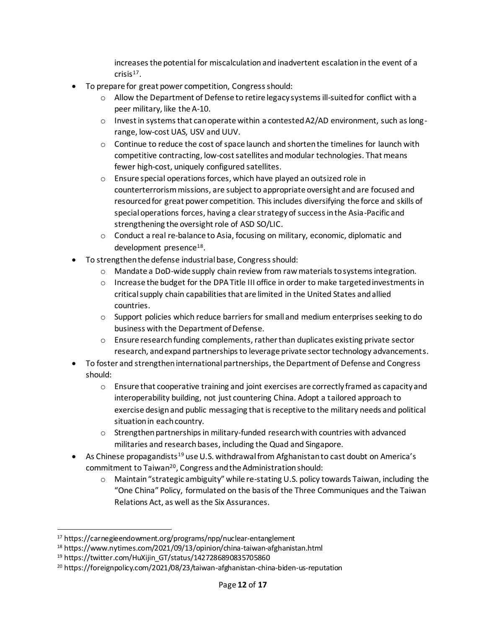increases the potential for miscalculation and inadvertent escalation in the event of a  $cris$  is  $17$ .

- To prepare for great power competition, Congress should:
	- $\circ$  Allow the Department of Defense to retire legacy systems ill-suited for conflict with a peer military, like the A-10.
	- $\circ$  Invest in systems that can operate within a contested A2/AD environment, such as longrange, low-cost UAS, USV and UUV.
	- $\circ$  Continue to reduce the cost of space launch and shorten the timelines for launch with competitive contracting, low-cost satellites and modular technologies. That means fewer high-cost, uniquely configured satellites.
	- o Ensure special operations forces, which have played an outsized role in counterterrorism missions, are subject to appropriate oversight and are focused and resourced for great power competition. This includes diversifying the force and skills of special operations forces, having a clear strategy of success in the Asia-Pacific and strengthening the oversight role of ASD SO/LIC.
	- o Conduct a real re-balance to Asia, focusing on military, economic, diplomatic and development presence<sup>18</sup>.
- To strengthen the defense industrial base, Congress should:
	- o Mandate a DoD-wide supply chain review from raw materials to systems integration.
	- o Increase the budget for the DPA Title III office in order to make targeted investments in critical supply chain capabilities that are limited in the United States and allied countries.
	- $\circ$  Support policies which reduce barriers for small and medium enterprises seeking to do business with the Department of Defense.
	- $\circ$  Ensure research funding complements, rather than duplicates existing private sector research, and expand partnerships to leverage private sector technology advancements.
- To foster and strengthen international partnerships, the Department of Defense and Congress should:
	- o Ensure that cooperative training and joint exercises are correctly framed as capacity and interoperability building, not just countering China. Adopt a tailored approach to exercise design and public messaging that is receptive to the military needs and political situation in each country.
	- $\circ$  Strengthen partnerships in military-funded research with countries with advanced militaries and research bases, including the Quad and Singapore.
- As Chinese propagandists<sup>19</sup> use U.S. withdrawal from Afghanistan to cast doubt on America's commitment to Taiwan<sup>20</sup>, Congress and the Administration should:
	- o Maintain "strategic ambiguity" while re-stating U.S. policy towards Taiwan, including the "One China" Policy, formulated on the basis of the Three Communiques and the Taiwan Relations Act, as well as the Six Assurances.

<sup>17</sup> https://carnegieendowment.org/programs/npp/nuclear-entanglement

<sup>18</sup> https://www.nytimes.com/2021/09/13/opinion/china-taiwan-afghanistan.html

<sup>19</sup> https://twitter.com/HuXijin\_GT/status/1427286890835705860

<sup>20</sup> https://foreignpolicy.com/2021/08/23/taiwan-afghanistan-china-biden-us-reputation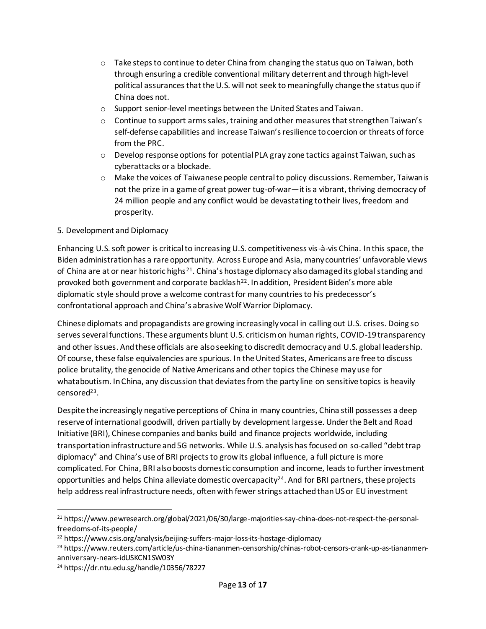- $\circ$  Take steps to continue to deter China from changing the status quo on Taiwan, both through ensuring a credible conventional military deterrent and through high-level political assurances that the U.S. will not seek to meaningfully change the status quo if China does not.
- o Support senior-level meetings between the United States and Taiwan.
- $\circ$  Continue to support arms sales, training and other measures that strengthen Taiwan's self-defense capabilities and increase Taiwan's resilience to coercion or threats of force from the PRC.
- $\circ$  Develop response options for potential PLA gray zone tactics against Taiwan, such as cyberattacks or a blockade.
- $\circ$  Make the voices of Taiwanese people central to policy discussions. Remember, Taiwan is not the prize in a game of great power tug-of-war—it is a vibrant, thriving democracy of 24 million people and any conflict would be devastating to their lives, freedom and prosperity.

#### 5. Development and Diplomacy

Enhancing U.S. soft power is critical to increasing U.S. competitiveness vis-à-vis China. In this space, the Biden administration has a rare opportunity. Across Europe and Asia, many countries' unfavorable views of China are at or near historic highs<sup>21</sup>. China's hostage diplomacy also damaged its global standing and provoked both government and corporate backlash<sup>22</sup>. In addition, President Biden's more able diplomatic style should prove a welcome contrast for many countries to his predecessor's confrontational approach and China's abrasive Wolf Warrior Diplomacy.

Chinese diplomats and propagandists are growing increasingly vocal in calling out U.S. crises. Doing so serves several functions. These arguments blunt U.S. criticism on human rights, COVID-19 transparency and other issues. And these officials are also seeking to discredit democracy and U.S. global leadership. Of course, these false equivalencies are spurious. In the United States, Americans are free to discuss police brutality, the genocide of Native Americans and other topics the Chinese may use for whataboutism. In China, any discussion that deviates from the party line on sensitive topics is heavily censored<sup>23</sup> .

Despite the increasingly negative perceptions of China in many countries, China still possesses a deep reserve of international goodwill, driven partially by development largesse. Under the Belt and Road Initiative (BRI), Chinese companies and banks build and finance projects worldwide, including transportation infrastructure and 5G networks. While U.S. analysis has focused on so-called "debt trap diplomacy" and China's use of BRI projects to grow its global influence, a full picture is more complicated. For China, BRI also boosts domestic consumption and income, leads to further investment opportunities and helps China alleviate domestic overcapacity<sup>24</sup>. And for BRI partners, these projects help address real infrastructure needs, often with fewer strings attached than US or EU investment

<sup>&</sup>lt;sup>21</sup> https://www.pewresearch.org/global/2021/06/30/large-majorities-say-china-does-not-respect-the-personalfreedoms-of-its-people/

<sup>22</sup> https://www.csis.org/analysis/beijing-suffers-major-loss-its-hostage-diplomacy

<sup>23</sup> https://www.reuters.com/article/us-china-tiananmen-censorship/chinas-robot-censors-crank-up-as-tiananmenanniversary-nears-idUSKCN1SW03Y

<sup>24</sup> https://dr.ntu.edu.sg/handle/10356/78227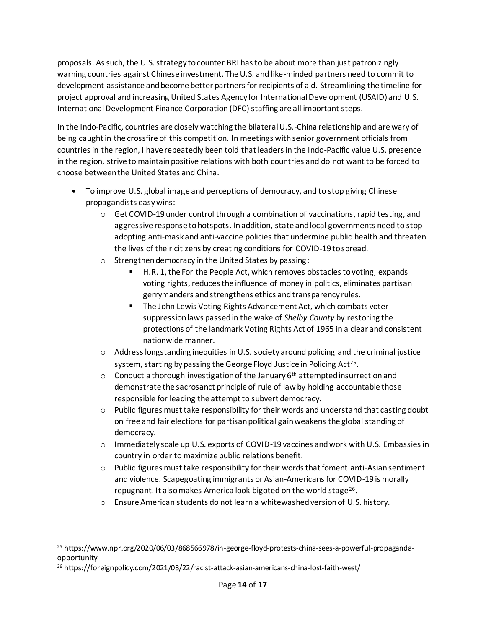proposals. As such, the U.S. strategy to counter BRI has to be about more than just patronizingly warning countries against Chinese investment. The U.S. and like-minded partners need to commit to development assistance and become better partners for recipients of aid. Streamlining the timeline for project approval and increasing United States Agency for International Development (USAID) and U.S. International Development Finance Corporation (DFC) staffing are all important steps.

In the Indo-Pacific, countries are closely watching the bilateral U.S.-China relationship and are wary of being caught in the crossfire of this competition. In meetings with senior government officials from countries in the region, I have repeatedly been told that leaders in the Indo-Pacific value U.S. presence in the region, strive to maintain positive relations with both countries and do not want to be forced to choose between the United States and China.

- To improve U.S. global image and perceptions of democracy, and to stop giving Chinese propagandists easy wins:
	- $\circ$  Get COVID-19 under control through a combination of vaccinations, rapid testing, and aggressive response to hotspots. In addition, state and local governments need to stop adopting anti-mask and anti-vaccine policies that undermine public health and threaten the lives of their citizens by creating conditions for COVID-19 to spread.
	- o Strengthen democracy in the United States by passing:
		- H.R. 1, the For the People Act, which removes obstacles to voting, expands voting rights, reduces the influence of money in politics, eliminates partisan gerrymanders and strengthens ethics and transparency rules.
		- The John Lewis Voting Rights Advancement Act, which combats voter suppression laws passed in the wake of *Shelby County* by restoring the protections of the landmark Voting Rights Act of 1965 in a clear and consistent nationwide manner.
	- o Address longstanding inequities in U.S. society around policing and the criminal justice system, starting by passing the George Floyd Justice in Policing Act<sup>25</sup>.
	- $\circ$  Conduct a thorough investigation of the January 6<sup>th</sup> attempted insurrection and demonstrate the sacrosanct principle of rule of law by holding accountable those responsible for leading the attempt to subvert democracy.
	- $\circ$  Public figures must take responsibility for their words and understand that casting doubt on free and fair elections for partisan political gain weakens the global standing of democracy.
	- o Immediately scale up U.S. exports of COVID-19 vaccines and work with U.S. Embassies in country in order to maximize public relations benefit.
	- $\circ$  Public figures must take responsibility for their words that foment anti-Asian sentiment and violence. Scapegoating immigrants or Asian-Americans for COVID-19 is morally repugnant. It also makes America look bigoted on the world stage<sup>26</sup>.
	- o Ensure American students do not learn a whitewashed version of U.S. history.

<sup>25</sup> https://www.npr.org/2020/06/03/868566978/in-george-floyd-protests-china-sees-a-powerful-propagandaopportunity

<sup>26</sup> https://foreignpolicy.com/2021/03/22/racist-attack-asian-americans-china-lost-faith-west/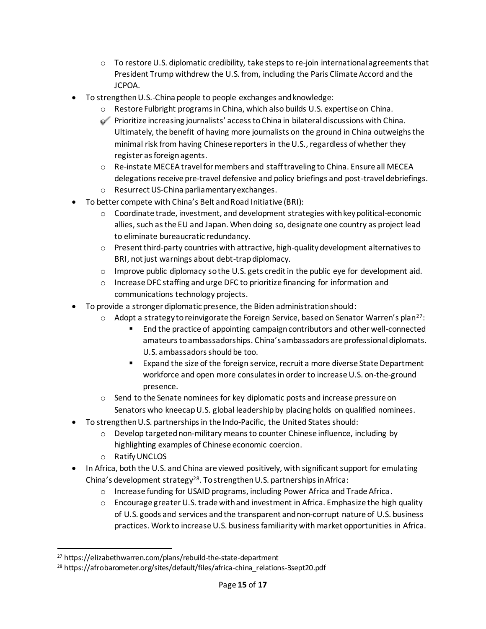- $\circ$  To restore U.S. diplomatic credibility, take steps to re-join international agreements that President Trump withdrew the U.S. from, including the Paris Climate Accord and the JCPOA.
- To strengthen U.S.-China people to people exchanges and knowledge:
	- o Restore Fulbright programs in China, which also builds U.S. expertise on China.
	- o Prioritize increasing journalists' access to China in bilateral discussions with China. Ultimately, the benefit of having more journalists on the ground in China outweighs the minimal risk from having Chinese reporters in the U.S., regardless of whether they register as foreign agents.
	- o Re-instate MECEA travel for members and staff traveling to China. Ensure all MECEA delegations receive pre-travel defensive and policy briefings and post-travel debriefings.
	- o Resurrect US-China parliamentary exchanges.
- To better compete with China's Belt and Road Initiative (BRI):
	- $\circ$  Coordinate trade, investment, and development strategies with key political-economic allies, such as the EU and Japan. When doing so, designate one country as project lead to eliminate bureaucratic redundancy.
	- o Present third-party countries with attractive, high-quality development alternatives to BRI, not just warnings about debt-trap diplomacy.
	- $\circ$  Improve public diplomacy so the U.S. gets credit in the public eye for development aid.
	- o Increase DFC staffing and urge DFC to prioritize financing for information and communications technology projects.
- To provide a stronger diplomatic presence, the Biden administration should:
	- $\circ$  Adopt a strategy to reinvigorate the Foreign Service, based on Senator Warren's plan<sup>27</sup>:
		- End the practice of appointing campaign contributors and other well-connected amateurs to ambassadorships. China's ambassadors are professional diplomats. U.S. ambassadors should be too.
		- Expand the size of the foreign service, recruit a more diverse State Department workforce and open more consulates in order to increase U.S. on-the-ground presence.
	- o Send to the Senate nominees for key diplomatic posts and increase pressure on Senators who kneecap U.S. global leadership by placing holds on qualified nominees.
- To strengthen U.S. partnerships in the Indo-Pacific, the United States should:
	- $\circ$  Develop targeted non-military means to counter Chinese influence, including by highlighting examples of Chinese economic coercion.
	- o Ratify UNCLOS
- In Africa, both the U.S. and China are viewed positively, with significant support for emulating China's development strategy<sup>28</sup>. To strengthen U.S. partnerships in Africa:
	- o Increase funding for USAID programs, including Power Africa and Trade Africa.
	- $\circ$  Encourage greater U.S. trade with and investment in Africa. Emphasize the high quality of U.S. goods and services and the transparent and non-corrupt nature of U.S. business practices. Work to increase U.S. business familiarity with market opportunities in Africa.

<sup>27</sup> https://elizabethwarren.com/plans/rebuild-the-state-department

<sup>28</sup> https://afrobarometer.org/sites/default/files/africa-china\_relations-3sept20.pdf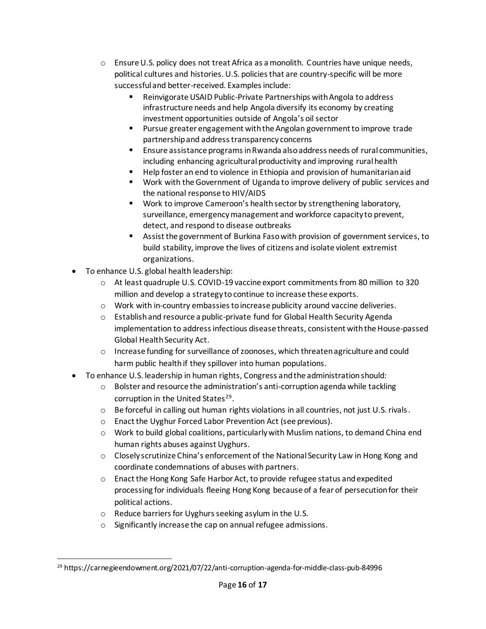- $\circ$  Ensure U.S. policy does not treat Africa as a monolith. Countries have unique needs, political cultures and histories. U.S. policies that are country-specific will be more successful and better-received. Examples include:
	- Reinvigorate USAID Public-Private Partnerships with Angola to address infrastructure needs and help Angola diversify its economy by creating investment opportunities outside of Angola's oil sector
	- Pursue greater engagement with the Angolan government to improve trade partnership and address transparency concerns
	- Ensure assistance programs in Rwanda also address needs of rural communities, including enhancing agricultural productivity and improving rural health
	- Help foster an end to violence in Ethiopia and provision of humanitarian aid
	- Work with the Government of Uganda to improve delivery of public services and the national response to HIV/AIDS
	- Work to improve Cameroon's health sector by strengthening laboratory, surveillance, emergency management and workforce capacity to prevent, detect, and respond to disease outbreaks
	- Assist the government of Burkina Faso with provision of government services, to build stability, improve the lives of citizens and isolate violent extremist organizations.
- To enhance U.S. global health leadership:
	- $\circ$  At least quadruple U.S. COVID-19 vaccine export commitments from 80 million to 320 million and develop a strategy to continue to increase these exports.
	- o Work with in-country embassies to increase publicity around vaccine deliveries.
	- o Establish and resource a public-private fund for Global Health Security Agenda implementation to address infectious disease threats, consistent with the House-passed Global Health Security Act.
	- o Increase funding for surveillance of zoonoses, which threaten agriculture and could harm public health if they spillover into human populations.
- To enhance U.S. leadership in human rights, Congress and the administration should:
	- o Bolster and resource the administration's anti-corruption agenda while tackling corruption in the United States<sup>29</sup>.
	- $\circ$  Be forceful in calling out human rights violations in all countries, not just U.S. rivals.
	- o Enact the Uyghur Forced Labor Prevention Act (see previous).
	- $\circ$  Work to build global coalitions, particularly with Muslim nations, to demand China end human rights abuses against Uyghurs.
	- $\circ$  Closely scrutinize China's enforcement of the National Security Law in Hong Kong and coordinate condemnations of abuses with partners.
	- o Enact the Hong Kong Safe Harbor Act, to provide refugee status and expedited processing for individuals fleeing Hong Kong because of a fear of persecution for their political actions.
	- o Reduce barriers for Uyghurs seeking asylum in the U.S.
	- o Significantly increase the cap on annual refugee admissions.

<sup>29</sup> https://carnegieendowment.org/2021/07/22/anti-corruption-agenda-for-middle-class-pub-84996